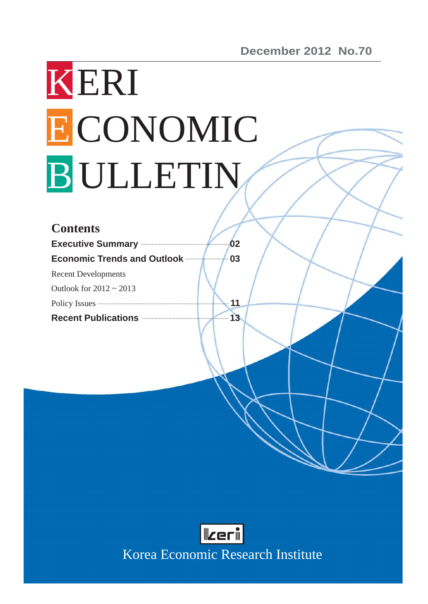# KERI ECONOMIC B ULLETIN

| <b>Contents</b>                                                                         |    |
|-----------------------------------------------------------------------------------------|----|
| <b>Executive Summary Executive Summary</b>                                              | 02 |
| <b>Economic Trends and Outlook manufacturers</b>                                        | 03 |
| <b>Recent Developments</b>                                                              |    |
| Outlook for $2012 \sim 2013$                                                            |    |
| Policy Issues <b>Constitution</b> Policy Issues <b>Constitution Constitution Policy</b> | 11 |
| Recent Publications <b>Exercise 2</b>                                                   | 13 |



Korea Economic Research Institute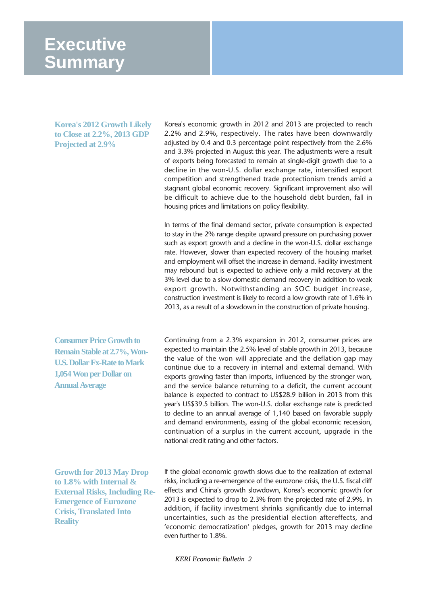## **Executive Summary**

**Korea's 2012 Growth Likely to Close at 2.2%, 2013 GDP Projected at 2.9%**

Korea's economic growth in 2012 and 2013 are projected to reach 2.2% and 2.9%, respectively. The rates have been downwardly adjusted by 0.4 and 0.3 percentage point respectively from the 2.6% and 3.3% projected in August this year. The adjustments were a result of exports being forecasted to remain at single-digit growth due to a decline in the won-U.S. dollar exchange rate, intensified export competition and strengthened trade protectionism trends amid a stagnant global economic recovery. Significant improvement also will be difficult to achieve due to the household debt burden, fall in housing prices and limitations on policy flexibility.

In terms of the final demand sector, private consumption is expected to stay in the 2% range despite upward pressure on purchasing power such as export growth and a decline in the won-U.S. dollar exchange rate. However, slower than expected recovery of the housing market and employment will offset the increase in demand. Facility investment may rebound but is expected to achieve only a mild recovery at the 3% level due to a slow domestic demand recovery in addition to weak export growth. Notwithstanding an SOC budget increase, construction investment is likely to record a low growth rate of 1.6% in 2013, as a result of a slowdown in the construction of private housing.

**Consumer Price Growth to Remain Stable at 2.7%, Won-U.S. Dollar Fx-Rate to Mark 1,054 Won per Dollar on Annual Average**

Continuing from a 2.3% expansion in 2012, consumer prices are expected to maintain the 2.5% level of stable growth in 2013, because the value of the won will appreciate and the deflation gap may continue due to a recovery in internal and external demand. With exports growing faster than imports, influenced by the stronger won, and the service balance returning to a deficit, the current account balance is expected to contract to US\$28.9 billion in 2013 from this year's US\$39.5 billion. The won-U.S. dollar exchange rate is predicted to decline to an annual average of 1,140 based on favorable supply and demand environments, easing of the global economic recession, continuation of a surplus in the current account, upgrade in the national credit rating and other factors.

**Growth for 2013 May Drop to 1.8% with Internal & External Risks, Including Re-Emergence of Eurozone Crisis, Translated Into Reality**

If the global economic growth slows due to the realization of external risks, including a re-emergence of the eurozone crisis, the U.S. fiscal cliff effects and China's growth slowdown, Korea's economic growth for 2013 is expected to drop to 2.3% from the projected rate of 2.9%. In addition, if facility investment shrinks significantly due to internal uncertainties, such as the presidential election aftereffects, and 'economic democratization' pledges, growth for 2013 may decline even further to 1.8%.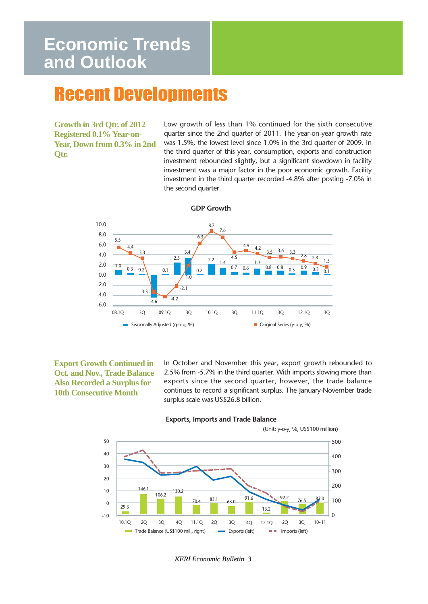# **Economic Trends and Outlook**

# Recent Developments

**Growth in 3rd Qtr. of 2012 Registered 0.1% Year-on-Year, Down from 0.3% in 2nd Qtr.** 

Low growth of less than 1% continued for the sixth consecutive quarter since the 2nd quarter of 2011. The year-on-year growth rate was 1.5%, the lowest level since 1.0% in the 3rd quarter of 2009. In the third quarter of this year, consumption, exports and construction investment rebounded slightly, but a significant slowdown in facility investment was a major factor in the poor economic growth. Facility investment in the third quarter recorded -4.8% after posting -7.0% in the second quarter.



**GDP Growth**

**Export Growth Continued in Oct. and Nov., Trade Balance Also Recorded a Surplus for 10th Consecutive Month** 

In October and November this year, export growth rebounded to 2.5% from -5.7% in the third quarter. With imports slowing more than exports since the second quarter, however, the trade balance continues to record a significant surplus. The January-November trade surplus scale was US\$26.8 billion.



#### **Exports, Imports and Trade Balance**

*KERI Economic Bulletin 3*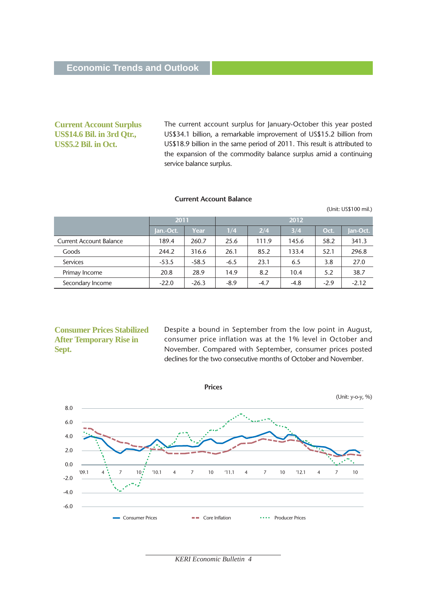## **Current Account Surplus US\$14.6 Bil. in 3rd Qtr., US\$5.2 Bil. in Oct.**

The current account surplus for January-October this year posted US\$34.1 billion, a remarkable improvement of US\$15.2 billion from US\$18.9 billion in the same period of 2011. This result is attributed to the expansion of the commodity balance surplus amid a continuing service balance surplus.

#### **Current Account Balance**

|                                |           |         |        |        |        |        | (Unit: US\$100 mil.) |
|--------------------------------|-----------|---------|--------|--------|--------|--------|----------------------|
|                                | 2011      |         |        |        | 2012   |        |                      |
|                                | Jan.-Oct. | Year    | 1/4    | 2/4    | 3/4    | Oct.   | Jan-Oct.             |
| <b>Current Account Balance</b> | 189.4     | 260.7   | 25.6   | 111.9  | 145.6  | 58.2   | 341.3                |
| Goods                          | 244.2     | 316.6   | 26.1   | 85.2   | 133.4  | 52.1   | 296.8                |
| <b>Services</b>                | $-53.5$   | $-58.5$ | $-6.5$ | 23.1   | 6.5    | 3.8    | 27.0                 |
| Primay Income                  | 20.8      | 28.9    | 14.9   | 8.2    | 10.4   | 5.2    | 38.7                 |
| Secondary Income               | $-22.0$   | $-26.3$ | $-8.9$ | $-4.7$ | $-4.8$ | $-2.9$ | $-2.12$              |

## **Consumer Prices Stabilized After Temporary Rise in Sept.**

Despite a bound in September from the low point in August, consumer price inflation was at the 1% level in October and November. Compared with September, consumer prices posted declines for the two consecutive months of October and November.



*KERI Economic Bulletin 4*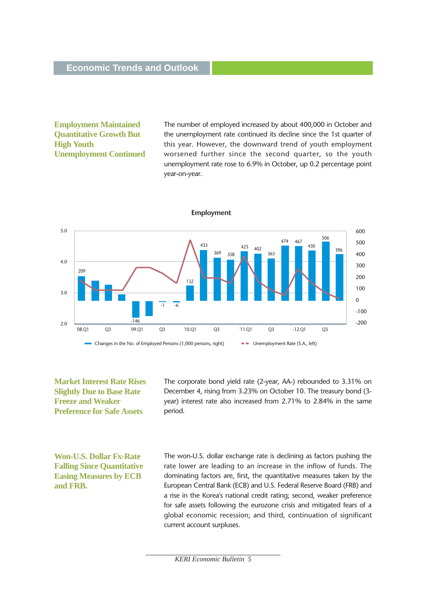## **Employment Maintained Quantitative Growth But High Youth Unemployment Continued**

The number of employed increased by about 400,000 in October and the unemployment rate continued its decline since the 1st quarter of this year. However, the downward trend of youth employment worsened further since the second quarter, so the youth unemployment rate rose to 6.9% in October, up 0.2 percentage point year-on-year.



**Market Interest Rate Rises Slightly Due to Base Rate Freeze and Weaker Preference for Safe Assets** 

The corporate bond yield rate (2-year, AA-) rebounded to 3.31% on December 4, rising from 3.23% on October 10. The treasury bond (3 year) interest rate also increased from 2.71% to 2.84% in the same period.

**Won-U.S. Dollar Fx-Rate Falling Since Quantitative Easing Measures by ECB and FRB.**

The won-U.S. dollar exchange rate is declining as factors pushing the rate lower are leading to an increase in the inflow of funds. The dominating factors are, first, the quantitative measures taken by the European Central Bank (ECB) and U.S. Federal Reserve Board (FRB) and a rise in the Korea's national credit rating; second, weaker preference for safe assets following the eurozone crisis and mitigated fears of a global economic recession; and third, continuation of significant current account surpluses.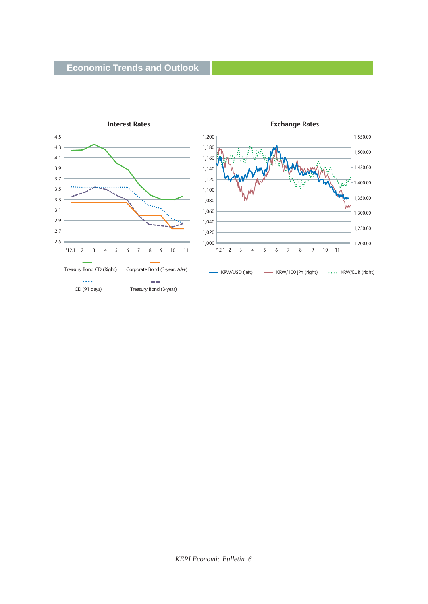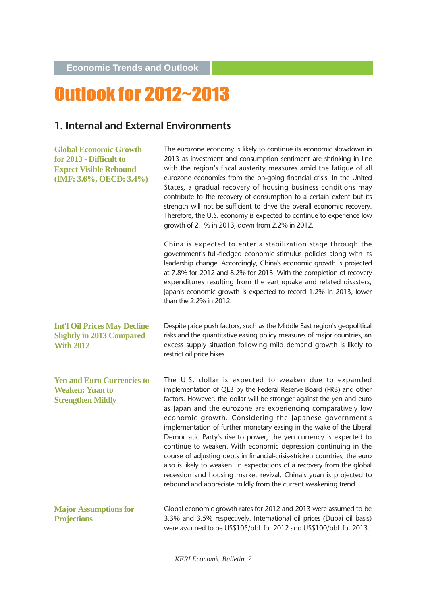**Economic Trends and Outlook**

# Outlook for 2012~2013

## **1. Internal and External Environments**

| <b>Global Economic Growth</b><br>for 2013 - Difficult to<br><b>Expect Visible Rebound</b><br>(IMF: 3.6%, OECD: 3.4%) | The eurozone economy is likely to continue its economic slowdown in<br>2013 as investment and consumption sentiment are shrinking in line<br>with the region's fiscal austerity measures amid the fatigue of all<br>eurozone economies from the on-going financial crisis. In the United<br>States, a gradual recovery of housing business conditions may<br>contribute to the recovery of consumption to a certain extent but its<br>strength will not be sufficient to drive the overall economic recovery.<br>Therefore, the U.S. economy is expected to continue to experience low<br>growth of 2.1% in 2013, down from 2.2% in 2012.                                                                                                                                                                                                        |
|----------------------------------------------------------------------------------------------------------------------|--------------------------------------------------------------------------------------------------------------------------------------------------------------------------------------------------------------------------------------------------------------------------------------------------------------------------------------------------------------------------------------------------------------------------------------------------------------------------------------------------------------------------------------------------------------------------------------------------------------------------------------------------------------------------------------------------------------------------------------------------------------------------------------------------------------------------------------------------|
|                                                                                                                      | China is expected to enter a stabilization stage through the<br>government's full-fledged economic stimulus policies along with its<br>leadership change. Accordingly, China's economic growth is projected<br>at 7.8% for 2012 and 8.2% for 2013. With the completion of recovery<br>expenditures resulting from the earthquake and related disasters,<br>Japan's economic growth is expected to record 1.2% in 2013, lower<br>than the 2.2% in 2012.                                                                                                                                                                                                                                                                                                                                                                                           |
| <b>Int'l Oil Prices May Decline</b><br><b>Slightly in 2013 Compared</b><br><b>With 2012</b>                          | Despite price push factors, such as the Middle East region's geopolitical<br>risks and the quantitative easing policy measures of major countries, an<br>excess supply situation following mild demand growth is likely to<br>restrict oil price hikes.                                                                                                                                                                                                                                                                                                                                                                                                                                                                                                                                                                                          |
| <b>Yen and Euro Currencies to</b><br><b>Weaken; Yuan to</b><br><b>Strengthen Mildly</b>                              | The U.S. dollar is expected to weaken due to expanded<br>implementation of QE3 by the Federal Reserve Board (FRB) and other<br>factors. However, the dollar will be stronger against the yen and euro<br>as Japan and the eurozone are experiencing comparatively low<br>economic growth. Considering the Japanese government's<br>implementation of further monetary easing in the wake of the Liberal<br>Democratic Party's rise to power, the yen currency is expected to<br>continue to weaken. With economic depression continuing in the<br>course of adjusting debts in financial-crisis-stricken countries, the euro<br>also is likely to weaken. In expectations of a recovery from the global<br>recession and housing market revival, China's yuan is projected to<br>rebound and appreciate mildly from the current weakening trend. |
| <b>Major Assumptions for</b><br><b>Projections</b>                                                                   | Global economic growth rates for 2012 and 2013 were assumed to be<br>3.3% and 3.5% respectively. International oil prices (Dubai oil basis)<br>were assumed to be US\$105/bbl. for 2012 and US\$100/bbl. for 2013.                                                                                                                                                                                                                                                                                                                                                                                                                                                                                                                                                                                                                               |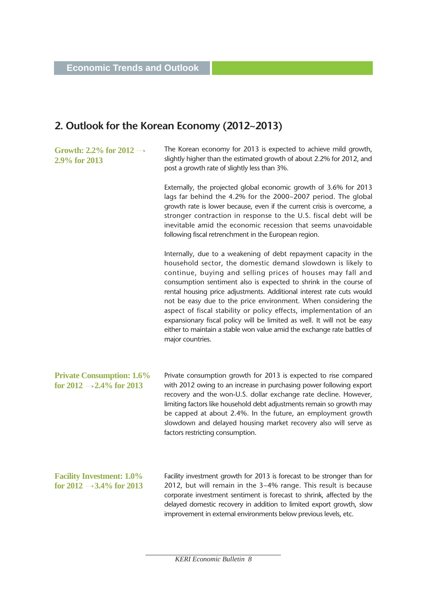## **2. Outlook for the Korean Economy (2012~2013)**

**Growth: 2.2% for 2012 2.9% for 2013**

The Korean economy for 2013 is expected to achieve mild growth, slightly higher than the estimated growth of about 2.2% for 2012, and post a growth rate of slightly less than 3%.

Externally, the projected global economic growth of 3.6% for 2013 lags far behind the 4.2% for the 2000~2007 period. The global growth rate is lower because, even if the current crisis is overcome, a stronger contraction in response to the U.S. fiscal debt will be inevitable amid the economic recession that seems unavoidable following fiscal retrenchment in the European region.

Internally, due to a weakening of debt repayment capacity in the household sector, the domestic demand slowdown is likely to continue, buying and selling prices of houses may fall and consumption sentiment also is expected to shrink in the course of rental housing price adjustments. Additional interest rate cuts would not be easy due to the price environment. When considering the aspect of fiscal stability or policy effects, implementation of an expansionary fiscal policy will be limited as well. It will not be easy either to maintain a stable won value amid the exchange rate battles of major countries.

**Private Consumption: 1.6% for 2012**  $\rightarrow$  2.4% for 2013

Private consumption growth for 2013 is expected to rise compared with 2012 owing to an increase in purchasing power following export recovery and the won-U.S. dollar exchange rate decline. However, limiting factors like household debt adjustments remain so growth may be capped at about 2.4%. In the future, an employment growth slowdown and delayed housing market recovery also will serve as factors restricting consumption.

**Facility Investment: 1.0%** for  $2012 \rightarrow 3.4\%$  for 2013 Facility investment growth for 2013 is forecast to be stronger than for 2012, but will remain in the 3~4% range. This result is because corporate investment sentiment is forecast to shrink, affected by the delayed domestic recovery in addition to limited export growth, slow improvement in external environments below previous levels, etc.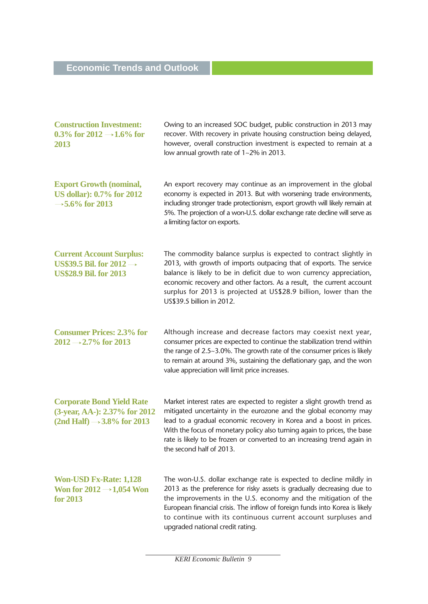## **Economic Trends and Outlook**

| <b>Construction Investment:</b><br>0.3% for 2012 $\rightarrow$ 1.6% for<br>2013                                               | Owing to an increased SOC budget, public construction in 2013 may<br>recover. With recovery in private housing construction being delayed,<br>however, overall construction investment is expected to remain at a<br>low annual growth rate of 1~2% in 2013.                                                                                                                                           |
|-------------------------------------------------------------------------------------------------------------------------------|--------------------------------------------------------------------------------------------------------------------------------------------------------------------------------------------------------------------------------------------------------------------------------------------------------------------------------------------------------------------------------------------------------|
| <b>Export Growth (nominal,</b><br><b>US dollar): 0.7% for 2012</b><br>$\rightarrow$ 5.6% for 2013                             | An export recovery may continue as an improvement in the global<br>economy is expected in 2013. But with worsening trade environments,<br>including stronger trade protectionism, export growth will likely remain at<br>5%. The projection of a won-U.S. dollar exchange rate decline will serve as<br>a limiting factor on exports.                                                                  |
| <b>Current Account Surplus:</b><br>US\$39.5 Bil. for $2012 \rightarrow$<br><b>US\$28.9 Bil. for 2013</b>                      | The commodity balance surplus is expected to contract slightly in<br>2013, with growth of imports outpacing that of exports. The service<br>balance is likely to be in deficit due to won currency appreciation,<br>economic recovery and other factors. As a result, the current account<br>surplus for 2013 is projected at US\$28.9 billion, lower than the<br>US\$39.5 billion in 2012.            |
| <b>Consumer Prices: 2.3% for</b><br>$2012 \rightarrow 2.7\%$ for 2013                                                         | Although increase and decrease factors may coexist next year,<br>consumer prices are expected to continue the stabilization trend within<br>the range of 2.5~3.0%. The growth rate of the consumer prices is likely<br>to remain at around 3%, sustaining the deflationary gap, and the won<br>value appreciation will limit price increases.                                                          |
| <b>Corporate Bond Yield Rate</b><br>(3-year, AA-): 2.37% for 2012<br>$(2nd \text{ Half}) \rightarrow 3.8\% \text{ for } 2013$ | Market interest rates are expected to register a slight growth trend as<br>mitigated uncertainty in the eurozone and the global economy may<br>lead to a gradual economic recovery in Korea and a boost in prices.<br>With the focus of monetary policy also turning again to prices, the base<br>rate is likely to be frozen or converted to an increasing trend again in<br>the second half of 2013. |
| <b>Won-USD Fx-Rate: 1,128</b><br>Won for $2012 \rightarrow 1,054$ Won<br>for 2013                                             | The won-U.S. dollar exchange rate is expected to decline mildly in<br>2013 as the preference for risky assets is gradually decreasing due to<br>the improvements in the U.S. economy and the mitigation of the<br>European financial crisis. The inflow of foreign funds into Korea is likely<br>to continue with its continuous current account surpluses and<br>upgraded national credit rating.     |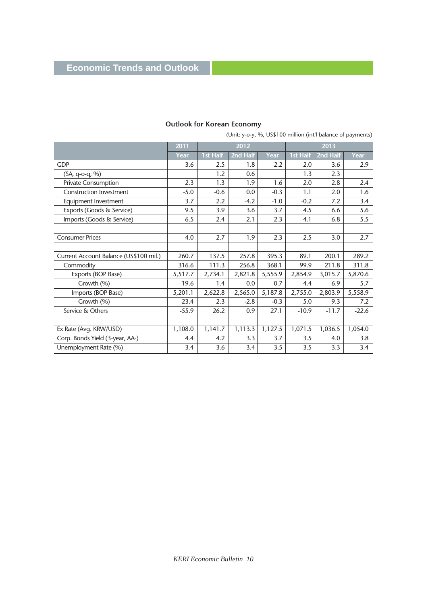|                                        | 2011    | 2012     |          | 2013    |          |          |         |
|----------------------------------------|---------|----------|----------|---------|----------|----------|---------|
|                                        | Year    | 1st Half | 2nd Half | Year    | 1st Half | 2nd Half | Year    |
| <b>GDP</b>                             | 3.6     | 2.5      | 1.8      | 2.2     | 2.0      | 3.6      | 2.9     |
| (SA, q-o-q, %)                         |         | 1.2      | 0.6      |         | 1.3      | 2.3      |         |
| Private Consumption                    | 2.3     | 1.3      | 1.9      | 1.6     | 2.0      | 2.8      | 2.4     |
| <b>Construction Investment</b>         | $-5.0$  | $-0.6$   | 0.0      | $-0.3$  | 1.1      | 2.0      | 1.6     |
| Equipment Investment                   | 3.7     | 2.2      | $-4.2$   | $-1.0$  | $-0.2$   | 7.2      | 3.4     |
| Exports (Goods & Service)              | 9.5     | 3.9      | 3.6      | 3.7     | 4.5      | 6.6      | 5.6     |
| Imports (Goods & Service)              | 6.5     | 2.4      | 2.1      | 2.3     | 4.1      | 6.8      | 5.5     |
|                                        |         |          |          |         |          |          |         |
| <b>Consumer Prices</b>                 | 4.0     | 2.7      | 1.9      | 2.3     | 2.5      | 3.0      | 2.7     |
|                                        |         |          |          |         |          |          |         |
| Current Account Balance (US\$100 mil.) | 260.7   | 137.5    | 257.8    | 395.3   | 89.1     | 200.1    | 289.2   |
| Commodity                              | 316.6   | 111.3    | 256.8    | 368.1   | 99.9     | 211.8    | 311.8   |
| Exports (BOP Base)                     | 5,517.7 | 2,734.1  | 2,821.8  | 5,555.9 | 2,854.9  | 3,015.7  | 5,870.6 |
| Growth (%)                             | 19.6    | 1.4      | 0.0      | 0.7     | 4.4      | 6.9      | 5.7     |
| Imports (BOP Base)                     | 5,201.1 | 2,622.8  | 2,565.0  | 5,187.8 | 2,755.0  | 2,803.9  | 5,558.9 |
| Growth (%)                             | 23.4    | 2.3      | $-2.8$   | $-0.3$  | 5.0      | 9.3      | 7.2     |
| Service & Others                       | $-55.9$ | 26.2     | 0.9      | 27.1    | $-10.9$  | $-11.7$  | $-22.6$ |
|                                        |         |          |          |         |          |          |         |
| Ex Rate (Avg. KRW/USD)                 | 1,108.0 | 1,141.7  | 1,113.3  | 1,127.5 | 1,071.5  | 1,036.5  | 1,054.0 |
| Corp. Bonds Yield (3-year, AA-)        | 4.4     | 4.2      | 3.3      | 3.7     | 3.5      | 4.0      | 3.8     |
| Unemployment Rate (%)                  | 3.4     | 3.6      | 3.4      | 3.5     | 3.5      | 3.3      | 3.4     |

## **Outlook for Korean Economy**

(Unit: y-o-y, %, US\$100 million (int'l balance of payments)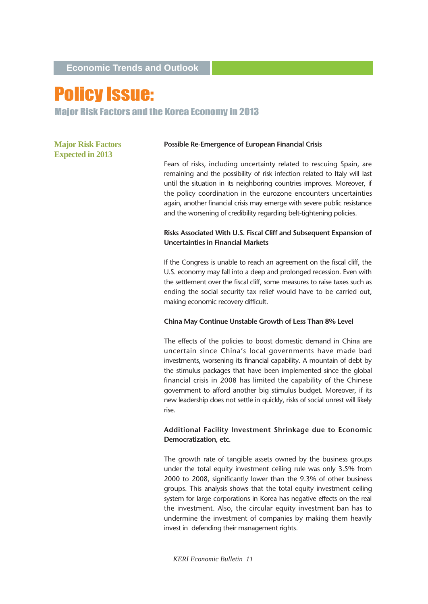**Economic Trends and Outlook**

# Policy Issue:

Major Risk Factors and the Korea Economy in 2013

**Major Risk Factors Expected in 2013**

#### **Possible Re-Emergence of European Financial Crisis**

Fears of risks, including uncertainty related to rescuing Spain, are remaining and the possibility of risk infection related to Italy will last until the situation in its neighboring countries improves. Moreover, if the policy coordination in the eurozone encounters uncertainties again, another financial crisis may emerge with severe public resistance and the worsening of credibility regarding belt-tightening policies.

## **Risks Associated With U.S. Fiscal Cliff and Subsequent Expansion of Uncertainties in Financial Markets**

If the Congress is unable to reach an agreement on the fiscal cliff, the U.S. economy may fall into a deep and prolonged recession. Even with the settlement over the fiscal cliff, some measures to raise taxes such as ending the social security tax relief would have to be carried out, making economic recovery difficult.

#### **China May Continue Unstable Growth of Less Than 8% Level**

The effects of the policies to boost domestic demand in China are uncertain since China's local governments have made bad investments, worsening its financial capability. A mountain of debt by the stimulus packages that have been implemented since the global financial crisis in 2008 has limited the capability of the Chinese government to afford another big stimulus budget. Moreover, if its new leadership does not settle in quickly, risks of social unrest will likely rise.

## **Additional Facility Investment Shrinkage due to Economic Democratization, etc.**

The growth rate of tangible assets owned by the business groups under the total equity investment ceiling rule was only 3.5% from 2000 to 2008, significantly lower than the 9.3% of other business groups. This analysis shows that the total equity investment ceiling system for large corporations in Korea has negative effects on the real the investment. Also, the circular equity investment ban has to undermine the investment of companies by making them heavily invest in defending their management rights.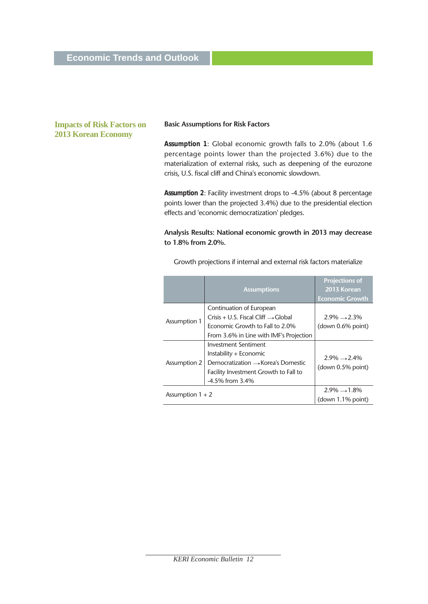## **Impacts of Risk Factors on 2013 Korean Economy**

#### **Basic Assumptions for Risk Factors**

*Assumption 1*: Global economic growth falls to 2.0% (about 1.6 percentage points lower than the projected 3.6%) due to the materialization of external risks, such as deepening of the eurozone crisis, U.S. fiscal cliff and China's economic slowdown.

*Assumption 2*: Facility investment drops to -4.5% (about 8 percentage points lower than the projected 3.4%) due to the presidential election effects and 'economic democratization' pledges.

## **Analysis Results: National economic growth in 2013 may decrease to 1.8% from 2.0%.**

|                    | <b>Assumptions</b>                                                                                                                                  | <b>Projections of</b><br>2013 Korean<br><b>Economic Growth</b> |
|--------------------|-----------------------------------------------------------------------------------------------------------------------------------------------------|----------------------------------------------------------------|
|                    | Continuation of European                                                                                                                            |                                                                |
| Assumption 1       | $Crisis + U.S.$ Fiscal Cliff $\rightarrow$ Global                                                                                                   | $2.9\% \rightarrow 2.3\%$                                      |
|                    | Economic Growth to Fall to 2.0%                                                                                                                     | (down 0.6% point)                                              |
|                    | From 3.6% in Line with IMF's Projection                                                                                                             |                                                                |
| Assumption 2       | Investment Sentiment<br>Instability + Economic<br>Democratization → Korea's Domestic<br>Facility Investment Growth to Fall to<br>$-4.5\%$ from 3.4% | $2.9\% \rightarrow 2.4\%$<br>(down 0.5% point)                 |
| Assumption $1 + 2$ |                                                                                                                                                     | $2.9\% \rightarrow 1.8\%$<br>(down 1.1% point)                 |

Growth projections if internal and external risk factors materialize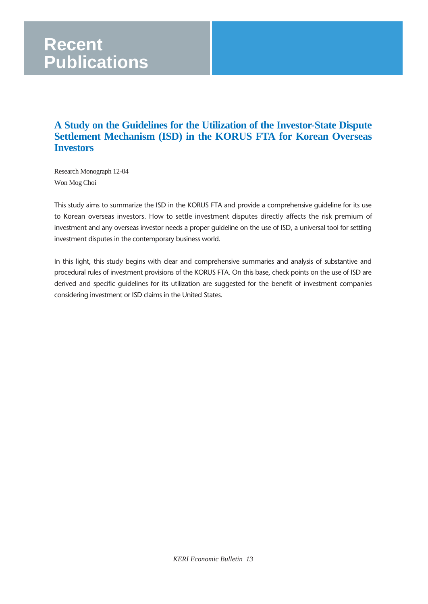# **Recent Publications**

## **A Study on the Guidelines for the Utilization of the Investor-State Dispute Settlement Mechanism (ISD) in the KORUS FTA for Korean Overseas Investors**

Research Monograph 12-04 Won Mog Choi

This study aims to summarize the ISD in the KORUS FTA and provide a comprehensive guideline for its use to Korean overseas investors. How to settle investment disputes directly affects the risk premium of investment and any overseas investor needs a proper guideline on the use of ISD, a universal tool for settling investment disputes in the contemporary business world.

In this light, this study begins with clear and comprehensive summaries and analysis of substantive and procedural rules of investment provisions of the KORUS FTA. On this base, check points on the use of ISD are derived and specific guidelines for its utilization are suggested for the benefit of investment companies considering investment or ISD claims in the United States.